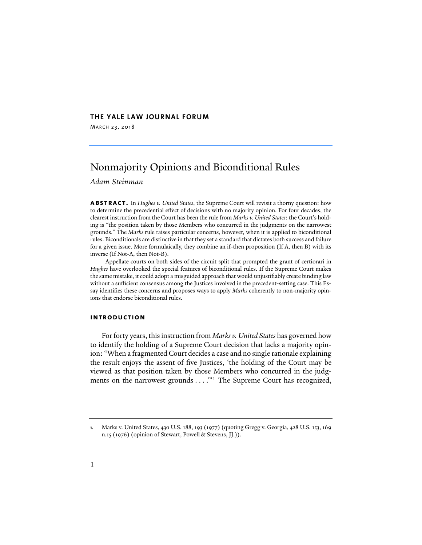# **THE YALE LAW JOURNAL FORUM**

MARCH 23, 2018

# Nonmajority Opinions and Biconditional Rules

*Adam Steinman*

**abstract.** In *Hughes v. United States*, the Supreme Court will revisit a thorny question: how to determine the precedential effect of decisions with no majority opinion. For four decades, the clearest instruction from the Court has been the rule from *Marks v. United States*: the Court's holding is "the position taken by those Members who concurred in the judgments on the narrowest grounds." The *Marks* rule raises particular concerns, however, when it is applied to biconditional rules. Biconditionals are distinctive in that they set a standard that dictates both success and failure for a given issue. More formulaically, they combine an if-then proposition (If A, then B) with its inverse (If Not-A, then Not-B).

Appellate courts on both sides of the circuit split that prompted the grant of certiorari in *Hughes* have overlooked the special features of biconditional rules. If the Supreme Court makes the same mistake, it could adopt a misguided approach that would unjustifiably create binding law without a sufficient consensus among the Justices involved in the precedent-setting case. This Essay identifies these concerns and proposes ways to apply *Marks* coherently to non-majority opinions that endorse biconditional rules.

### **introduction**

<span id="page-0-1"></span>For forty years, this instruction from *Marks v. United States* has governed how to identify the holding of a Supreme Court decision that lacks a majority opinion: "When a fragmented Court decides a case and no single rationale explaining the result enjoys the assent of five Justices, 'the holding of the Court may be viewed as that position taken by those Members who concurred in the judg-ments on the narrowest grounds . . . . "<sup>[1](#page-0-0)</sup> The Supreme Court has recognized,

<span id="page-0-0"></span>**<sup>1</sup>**. Marks v. United States, 430 U.S. 188, 193 (1977) (quoting Gregg v. Georgia, 428 U.S. 153, 169 n.15 (1976) (opinion of Stewart, Powell & Stevens, JJ.)).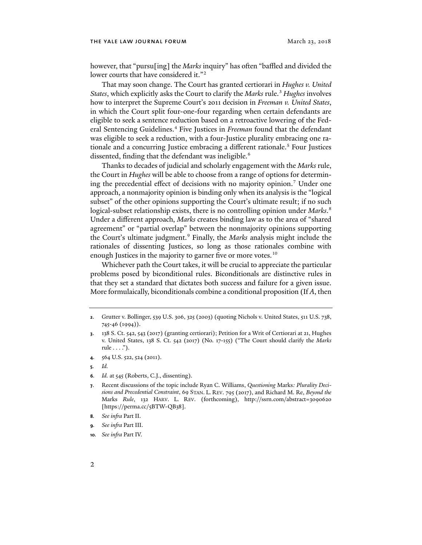however, that "pursu[ing] the *Marks* inquiry" has o�en "baffled and divided the lower courts that have considered it."<sup>[2](#page-1-0)</sup>

That may soon change. The Court has granted certiorari in *Hughes v. United States*, which explicitly asks the Court to clarify the *Marks* rule.[3](#page-1-1) *Hughes* involves how to interpret the Supreme Court's 2011 decision in *Freeman v. United States*, in which the Court split four-one-four regarding when certain defendants are eligible to seek a sentence reduction based on a retroactive lowering of the Fed-eral Sentencing Guidelines.<sup>[4](#page-1-2)</sup> Five Justices in *Freeman* found that the defendant was eligible to seek a reduction, with a four-Justice plurality embracing one rationale and a concurring Justice embracing a different rationale.<sup>5</sup> Four Justices dissented, finding that the defendant was ineligible.<sup>[6](#page-1-4)</sup>

<span id="page-1-9"></span>Thanks to decades of judicial and scholarly engagement with the *Marks* rule, the Court in *Hughes* will be able to choose from a range of options for determin-ing the precedential effect of decisions with no majority opinion.<sup>[7](#page-1-5)</sup> Under one approach, a nonmajority opinion is binding only when its analysis is the "logical subset" of the other opinions supporting the Court's ultimate result; if no such logical-subset relationship exists, there is no controlling opinion under *Marks*. [8](#page-1-6) Under a different approach, *Marks* creates binding law as to the area of "shared agreement" or "partial overlap" between the nonmajority opinions supporting the Court's ultimate judgment.[9](#page-1-7) Finally, the *Marks* analysis might include the rationales of dissenting Justices, so long as those rationales combine with enough Justices in the majority to garner five or more votes.<sup>[10](#page-1-8)</sup>

Whichever path the Court takes, it will be crucial to appreciate the particular problems posed by biconditional rules. Biconditionals are distinctive rules in that they set a standard that dictates both success and failure for a given issue. More formulaically, biconditionals combine a conditional proposition (If *A*, then

- <span id="page-1-2"></span>**4**. 564 U.S. 522, 524 (2011).
- <span id="page-1-3"></span>**5***. Id.*
- <span id="page-1-4"></span>**6***. Id.* at 545 (Roberts, C.J., dissenting).
- <span id="page-1-5"></span>**7**. Recent discussions of the topic include Ryan C. Williams, *Questioning* Marks*: Plurality Decisions and Precedential Constraint*, 69 STAN. L. REV. 795 (2017), and Richard M. Re, *Beyond the*  Marks *Rule*, 132 HARV. L. REV. (forthcoming), http://ssrn.com/abstract=3090620 [https://perma.cc/5BTW-QB38].
- <span id="page-1-6"></span>**8***. See infra* Part II.
- <span id="page-1-7"></span>**9***. See infra* Part III.
- <span id="page-1-8"></span>**10***. See infra* Part IV.

<span id="page-1-0"></span>**<sup>2</sup>**. Grutter v. Bollinger, 539 U.S. 306, 325 (2003) (quoting Nichols v. United States, 511 U.S. 738, 745-46 (1994)).

<span id="page-1-1"></span>**<sup>3</sup>**. 138 S. Ct. 542, 543 (2017) (granting certiorari); Petition for a Writ of Certiorari at 21, Hughes v. United States, 138 S. Ct. 542 (2017) (No. 17-155) ("The Court should clarify the *Marks* rule  $\dots$ ").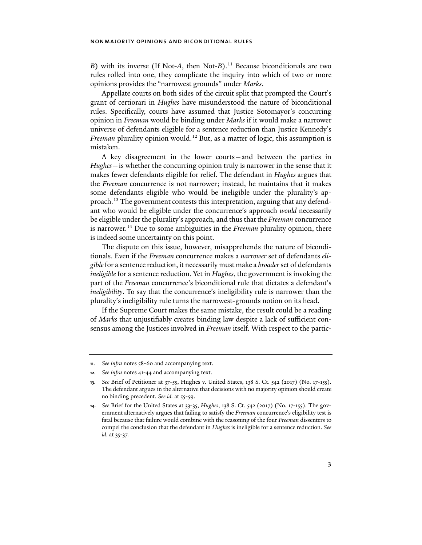*B*) with its inverse (If Not-*A*, then Not-*B*).<sup>[11](#page-2-0)</sup> Because biconditionals are two rules rolled into one, they complicate the inquiry into which of two or more opinions provides the "narrowest grounds" under *Marks*.

Appellate courts on both sides of the circuit split that prompted the Court's grant of certiorari in *Hughes* have misunderstood the nature of biconditional rules. Specifically, courts have assumed that Justice Sotomayor's concurring opinion in *Freeman* would be binding under *Marks* if it would make a narrower universe of defendants eligible for a sentence reduction than Justice Kennedy's *Freeman* plurality opinion would.<sup>[12](#page-2-1)</sup> But, as a matter of logic, this assumption is mistaken.

<span id="page-2-4"></span>A key disagreement in the lower courts—and between the parties in *Hughes*—is whether the concurring opinion truly is narrower in the sense that it makes fewer defendants eligible for relief. The defendant in *Hughes* argues that the *Freeman* concurrence is not narrower; instead, he maintains that it makes some defendants eligible who would be ineligible under the plurality's approach.[13](#page-2-2) The government contests this interpretation, arguing that any defendant who would be eligible under the concurrence's approach *would* necessarily be eligible under the plurality's approach, and thus that the *Freeman* concurrence is narrower[.14](#page-2-3) Due to some ambiguities in the *Freeman* plurality opinion, there is indeed some uncertainty on this point.

<span id="page-2-5"></span>The dispute on this issue, however, misapprehends the nature of biconditionals. Even if the *Freeman* concurrence makes a *narrower* set of defendants *eligible*for a sentence reduction, it necessarily must make a *broader* set of defendants *ineligible* for a sentence reduction. Yet in *Hughes*, the government is invoking the part of the *Freeman* concurrence's biconditional rule that dictates a defendant's *ineligibility*. To say that the concurrence's ineligibility rule is narrower than the plurality's ineligibility rule turns the narrowest-grounds notion on its head.

If the Supreme Court makes the same mistake, the result could be a reading of *Marks* that unjustifiably creates binding law despite a lack of sufficient consensus among the Justices involved in *Freeman* itself. With respect to the partic-

<span id="page-2-0"></span>**<sup>11</sup>***. See infra* notes [58-](#page-10-0)[60](#page-10-1) and accompanying text.

<span id="page-2-1"></span>**<sup>12</sup>***. See infra* notes [41](#page-7-0)[-44](#page-7-1) and accompanying text.

<span id="page-2-2"></span>**<sup>13</sup>***. See* Brief of Petitioner at 37-55, Hughes v. United States, 138 S. Ct. 542 (2017) (No. 17-155). The defendant argues in the alternative that decisions with no majority opinion should create no binding precedent. *See id.* at 55-59.

<span id="page-2-3"></span>**<sup>14</sup>***. See* Brief for the United States at 33-35, *Hughes*, 138 S. Ct. 542 (2017) (No. 17-155). The government alternatively argues that failing to satisfy the *Freeman* concurrence's eligibility test is fatal because that failure would combine with the reasoning of the four *Freeman* dissenters to compel the conclusion that the defendant in *Hughes* is ineligible for a sentence reduction. *See id.* at 35-37.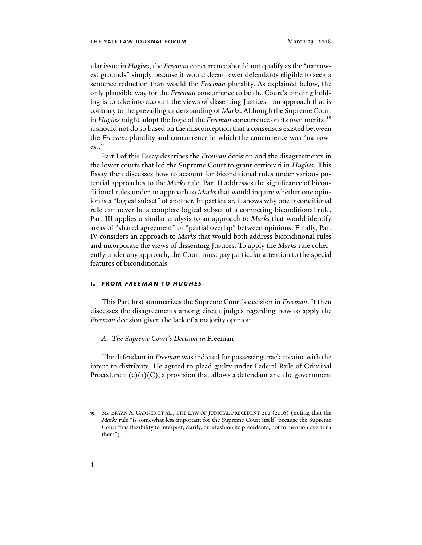ular issue in *Hughes*, the *Freeman* concurrence should not qualify as the "narrowest grounds" simply because it would deem fewer defendants eligible to seek a sentence reduction than would the *Freeman* plurality. As explained below, the only plausible way for the *Freeman* concurrence to be the Court's binding holding is to take into account the views of dissenting Justices—an approach that is contrary to the prevailing understanding of *Marks*. Although the Supreme Court in *Hughes* might adopt the logic of the *Freeman* concurrence on its own merits,[15](#page-3-0) it should not do so based on the misconception that a consensus existed between the *Freeman* plurality and concurrence in which the concurrence was "narrowest."

<span id="page-3-1"></span>Part I of this Essay describes the *Freeman* decision and the disagreements in the lower courts that led the Supreme Court to grant certiorari in *Hughes*. This Essay then discusses how to account for biconditional rules under various potential approaches to the *Marks* rule. Part II addresses the significance of biconditional rules under an approach to *Marks* that would inquire whether one opinion is a "logical subset" of another. In particular, it shows why one biconditional rule can never be a complete logical subset of a competing biconditional rule. Part III applies a similar analysis to an approach to *Marks* that would identify areas of "shared agreement" or "partial overlap" between opinions. Finally, Part IV considers an approach to *Marks* that would both address biconditional rules and incorporate the views of dissenting Justices. To apply the *Marks* rule coherently under any approach, the Court must pay particular attention to the special features of biconditionals.

# **i. from** *freeman* **to** *hughes*

This Part first summarizes the Supreme Court's decision in *Freeman*. It then discusses the disagreements among circuit judges regarding how to apply the *Freeman* decision given the lack of a majority opinion.

### *A. The Supreme Court's Decision in* Freeman

The defendant in *Freeman* was indicted for possessing crack cocaine with the intent to distribute. He agreed to plead guilty under Federal Rule of Criminal Procedure  $11(c)(1)(C)$ , a provision that allows a defendant and the government

<span id="page-3-0"></span>**<sup>15</sup>***. See* BRYAN A. GARNER ET AL., THE LAW OF JUDICIAL PRECEDENT 202 (2016) (noting that the *Marks* rule "is somewhat less important for the Supreme Court itself" because the Supreme Court "has flexibility to interpret, clarify, or refashion its precedents, not to mention overturn them").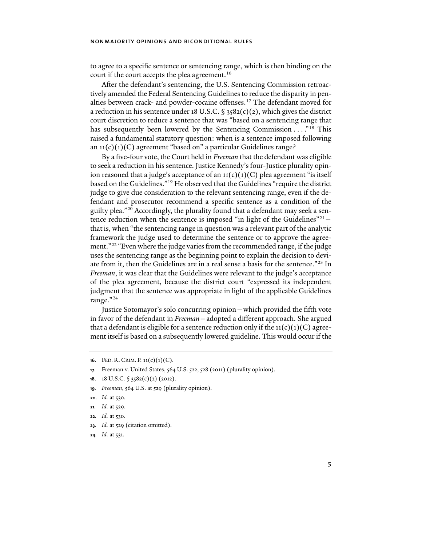to agree to a specific sentence or sentencing range, which is then binding on the court if the court accepts the plea agreement.<sup>16</sup>

After the defendant's sentencing, the U.S. Sentencing Commission retroactively amended the Federal Sentencing Guidelines to reduce the disparity in penalties between crack- and powder-cocaine offenses.[17](#page-4-1) The defendant moved for a reduction in his sentence under 18 U.S.C.  $\frac{2582(c)(2)}{2}$ , which gives the district court discretion to reduce a sentence that was "based on a sentencing range that has subsequently been lowered by the Sentencing Commission . . . . "<sup>[18](#page-4-2)</sup> This raised a fundamental statutory question: when is a sentence imposed following an  $11(c)(1)(C)$  agreement "based on" a particular Guidelines range?

<span id="page-4-9"></span>By a five-four vote, the Court held in *Freeman* that the defendant was eligible to seek a reduction in his sentence. Justice Kennedy's four-Justice plurality opinion reasoned that a judge's acceptance of an  $11(c)(1)(C)$  plea agreement "is itself based on the Guidelines."[19](#page-4-3) He observed that the Guidelines "require the district judge to give due consideration to the relevant sentencing range, even if the defendant and prosecutor recommend a specific sentence as a condition of the guilty plea."[20](#page-4-4) Accordingly, the plurality found that a defendant may seek a sen-tence reduction when the sentence is imposed "in light of the Guidelines"<sup>[21](#page-4-5)</sup> – that is, when "the sentencing range in question was a relevant part of the analytic framework the judge used to determine the sentence or to approve the agree-ment."<sup>[22](#page-4-6)</sup> "Even where the judge varies from the recommended range, if the judge uses the sentencing range as the beginning point to explain the decision to deviate from it, then the Guidelines are in a real sense a basis for the sentence."[23](#page-4-7) In *Freeman*, it was clear that the Guidelines were relevant to the judge's acceptance of the plea agreement, because the district court "expressed its independent judgment that the sentence was appropriate in light of the applicable Guidelines range."[24](#page-4-8)

<span id="page-4-10"></span>Justice Sotomayor's solo concurring opinion—which provided the fi�h vote in favor of the defendant in *Freeman*—adopted a different approach. She argued that a defendant is eligible for a sentence reduction only if the  $11(c)(1)(C)$  agreement itself is based on a subsequently lowered guideline. This would occur if the

<span id="page-4-3"></span>**19***. Freeman*, 564 U.S. at 529 (plurality opinion).

- <span id="page-4-5"></span>**21***. Id.* at 529.
- <span id="page-4-6"></span>**22***. Id.* at 530.
- <span id="page-4-7"></span>**23***. Id.* at 529 (citation omitted).
- <span id="page-4-8"></span>**24***. Id.* at 531.

<span id="page-4-0"></span>**<sup>16</sup>**. FED. R. CRIM. P. 11(c)(1)(C).

<span id="page-4-1"></span>**<sup>17</sup>**. Freeman v. United States, 564 U.S. 522, 528 (2011) (plurality opinion).

<span id="page-4-2"></span>**<sup>18</sup>**. 18 U.S.C. § 3582(c)(2) (2012).

<span id="page-4-4"></span>**<sup>20</sup>***. Id.* at 530.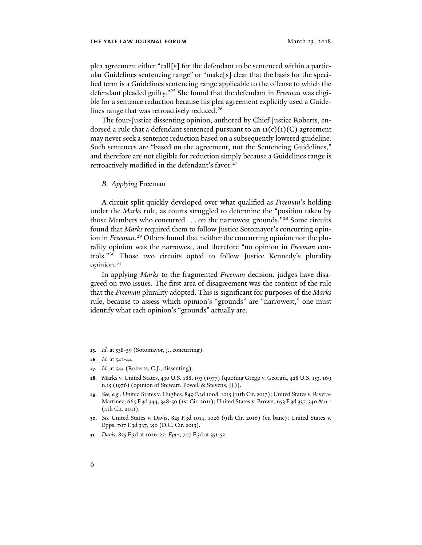<span id="page-5-7"></span>plea agreement either "call[s] for the defendant to be sentenced within a particular Guidelines sentencing range" or "make[s] clear that the basis for the specified term is a Guidelines sentencing range applicable to the offense to which the defendant pleaded guilty."[25](#page-5-0) She found that the defendant in *Freeman* was eligible for a sentence reduction because his plea agreement explicitly used a Guide-lines range that was retroactively reduced.<sup>[26](#page-5-1)</sup>

<span id="page-5-8"></span>The four-Justice dissenting opinion, authored by Chief Justice Roberts, endorsed a rule that a defendant sentenced pursuant to an  $\iota_1(c)(1)(C)$  agreement may never seek a sentence reduction based on a subsequently lowered guideline. Such sentences are "based on the agreement, not the Sentencing Guidelines," and therefore are not eligible for reduction simply because a Guidelines range is retroactively modified in the defendant's favor.<sup>[27](#page-5-2)</sup>

### <span id="page-5-9"></span>*B. Applying* Freeman

A circuit split quickly developed over what qualified as *Freeman*'s holding under the *Marks* rule, as courts struggled to determine the "position taken by those Members who concurred . . . on the narrowest grounds."[28](#page-5-3) Some circuits found that *Marks* required them to follow Justice Sotomayor's concurring opinion in *Freeman*. [29](#page-5-4) Others found that neither the concurring opinion nor the plurality opinion was the narrowest, and therefore "no opinion in *Freeman* controls."[30](#page-5-5) Those two circuits opted to follow Justice Kennedy's plurality opinion.<sup>[31](#page-5-6)</sup>

In applying *Marks* to the fragmented *Freeman* decision, judges have disagreed on two issues. The first area of disagreement was the content of the rule that the *Freeman* plurality adopted. This is significant for purposes of the *Marks* rule, because to assess which opinion's "grounds" are "narrowest," one must identify what each opinion's "grounds" actually are.

<span id="page-5-0"></span>**<sup>25</sup>***. Id.* at 538-39 (Sotomayor, J., concurring).

<span id="page-5-1"></span>**<sup>26</sup>***. Id.* at 542-44.

<span id="page-5-2"></span>**<sup>27</sup>***. Id.* at 544 (Roberts, C.J., dissenting).

<span id="page-5-3"></span>**<sup>28</sup>**. Marks v. United States, 430 U.S. 188, 193 (1977) (quoting Gregg v. Georgia, 428 U.S. 153, 169 n.15 (1976) (opinion of Stewart, Powell & Stevens, JJ.)).

<span id="page-5-4"></span>**<sup>29</sup>***. See, e.g.*, United States v. Hughes, 849 F.3d 1008, 1015 (11th Cir. 2017); United States v. Rivera-Martínez, 665 F.3d 344, 348-50 (1st Cir. 2011); United States v. Brown, 653 F.3d 337, 340 & n.1 (4th Cir. 2011).

<span id="page-5-5"></span>**<sup>30</sup>**. *See* United States v. Davis, 825 F.3d 1014, 1026 (9th Cir. 2016) (en banc); United States v. Epps, 707 F.3d 337, 350 (D.C. Cir. 2013).

<span id="page-5-6"></span>**<sup>31</sup>***. Davis*, 825 F.3d at 1026-27; *Epps*, 707 F.3d at 351-52.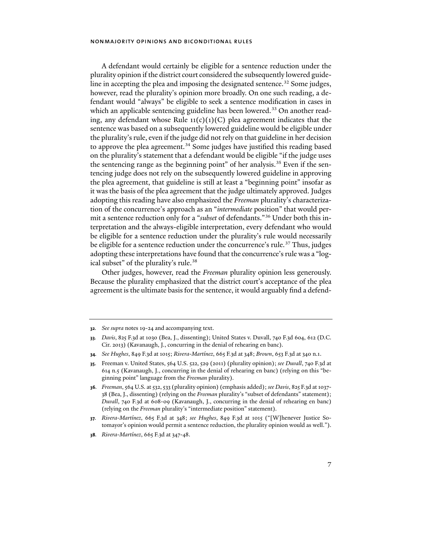<span id="page-6-7"></span>A defendant would certainly be eligible for a sentence reduction under the plurality opinion if the district court considered the subsequently lowered guide-line in accepting the plea and imposing the designated sentence.<sup>[32](#page-6-0)</sup> Some judges, however, read the plurality's opinion more broadly. On one such reading, a defendant would "always" be eligible to seek a sentence modification in cases in which an applicable sentencing guideline has been lowered.<sup>[33](#page-6-1)</sup> On another reading, any defendant whose Rule  $\iota_1(c)(1)(C)$  plea agreement indicates that the sentence was based on a subsequently lowered guideline would be eligible under the plurality's rule, even if the judge did not rely on that guideline in her decision to approve the plea agreement. [34](#page-6-2) Some judges have justified this reading based on the plurality's statement that a defendant would be eligible "if the judge uses the sentencing range as the beginning point" of her analysis.<sup>[35](#page-6-3)</sup> Even if the sentencing judge does not rely on the subsequently lowered guideline in approving the plea agreement, that guideline is still at least a "beginning point" insofar as it was the basis of the plea agreement that the judge ultimately approved. Judges adopting this reading have also emphasized the *Freeman* plurality's characterization of the concurrence's approach as an "*intermediate* position" that would permit a sentence reduction only for a "*subset* of defendants."[36](#page-6-4) Under both this interpretation and the always-eligible interpretation, every defendant who would be eligible for a sentence reduction under the plurality's rule would necessarily be eligible for a sentence reduction under the concurrence's rule.<sup>[37](#page-6-5)</sup> Thus, judges adopting these interpretations have found that the concurrence's rule was a "log-ical subset" of the plurality's rule.<sup>[38](#page-6-6)</sup>

Other judges, however, read the *Freeman* plurality opinion less generously. Because the plurality emphasized that the district court's acceptance of the plea agreement is the ultimate basis for the sentence, it would arguably find a defend-

<span id="page-6-0"></span>**<sup>32</sup>***. See supra* notes [19-](#page-4-9)[24](#page-4-10) and accompanying text.

<span id="page-6-1"></span>**<sup>33</sup>***. Davis*, 825 F.3d at 1030 (Bea, J., dissenting); United States v. Duvall, 740 F.3d 604, 612 (D.C. Cir. 2013) (Kavanaugh, J., concurring in the denial of rehearing en banc).

<span id="page-6-2"></span>**<sup>34</sup>***. See Hughes*, 849 F.3d at 1015; *Rivera-Martínez*, 665 F.3d at 348; *Brown*, 653 F.3d at 340 n.1.

<span id="page-6-3"></span>**<sup>35</sup>**. Freeman v. United States, 564 U.S. 522, 529 (2011) (plurality opinion); *see Duvall*, 740 F.3d at 614 n.5 (Kavanaugh, J., concurring in the denial of rehearing en banc) (relying on this "beginning point" language from the *Freeman* plurality).

<span id="page-6-4"></span>**<sup>36</sup>***. Freeman*, 564 U.S. at 532, 533 (plurality opinion) (emphasis added); *see Davis*, 825 F.3d at 1037- 38 (Bea, J., dissenting) (relying on the *Freeman* plurality's "subset of defendants" statement); *Duvall*, 740 F.3d at 608-09 (Kavanaugh, J., concurring in the denial of rehearing en banc) (relying on the *Freeman* plurality's "intermediate position" statement).

<span id="page-6-5"></span>**<sup>37</sup>***. Rivera-Martínez*, 665 F.3d at 348; *see Hughes*, 849 F.3d at 1015 ("[W]henever Justice Sotomayor's opinion would permit a sentence reduction, the plurality opinion would as well.").

<span id="page-6-6"></span>**<sup>38</sup>***. Rivera-Martínez*, 665 F.3d at 347-48.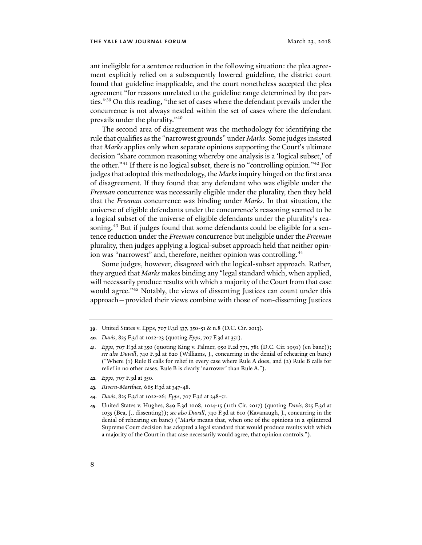ant ineligible for a sentence reduction in the following situation: the plea agreement explicitly relied on a subsequently lowered guideline, the district court found that guideline inapplicable, and the court nonetheless accepted the plea agreement "for reasons unrelated to the guideline range determined by the parties."[39](#page-7-2) On this reading, "the set of cases where the defendant prevails under the concurrence is not always nestled within the set of cases where the defendant prevails under the plurality."[40](#page-7-3)

<span id="page-7-9"></span><span id="page-7-0"></span>The second area of disagreement was the methodology for identifying the rule that qualifies as the "narrowest grounds" under *Marks*. Some judges insisted that *Marks* applies only when separate opinions supporting the Court's ultimate decision "share common reasoning whereby one analysis is a 'logical subset,' of the other."[41](#page-7-4) If there is no logical subset, there is no "controlling opinion."[42](#page-7-5) For judges that adopted this methodology, the *Marks* inquiry hinged on the first area of disagreement. If they found that any defendant who was eligible under the *Freeman* concurrence was necessarily eligible under the plurality, then they held that the *Freeman* concurrence was binding under *Marks*. In that situation, the universe of eligible defendants under the concurrence's reasoning seemed to be a logical subset of the universe of eligible defendants under the plurality's rea-soning.<sup>[43](#page-7-6)</sup> But if judges found that some defendants could be eligible for a sentence reduction under the *Freeman* concurrence but ineligible under the *Freeman*  plurality, then judges applying a logical-subset approach held that neither opin-ion was "narrowest" and, therefore, neither opinion was controlling.<sup>[44](#page-7-7)</sup>

<span id="page-7-1"></span>Some judges, however, disagreed with the logical-subset approach. Rather, they argued that *Marks* makes binding any "legal standard which, when applied, will necessarily produce results with which a majority of the Court from that case would agree."[45](#page-7-8) Notably, the views of dissenting Justices can count under this approach—provided their views combine with those of non-dissenting Justices

- <span id="page-7-5"></span>**42***. Epps*, 707 F.3d at 350.
- <span id="page-7-6"></span>**43***. Rivera-Martínez*, 665 F.3d at 347-48.
- <span id="page-7-7"></span>**44***. Davis*, 825 F.3d at 1022-26; *Epps*, 707 F.3d at 348-51.
- <span id="page-7-8"></span>**45**. United States v. Hughes, 849 F.3d 1008, 1014-15 (11th Cir. 2017) (quoting *Davis*, 825 F.3d at 1035 (Bea, J., dissenting)); *see also Duvall*, 740 F.3d at 610 (Kavanaugh, J., concurring in the denial of rehearing en banc) ("*Marks* means that, when one of the opinions in a splintered Supreme Court decision has adopted a legal standard that would produce results with which a majority of the Court in that case necessarily would agree, that opinion controls.").

<span id="page-7-2"></span>**<sup>39</sup>**. United States v. Epps, 707 F.3d 337, 350-51 & n.8 (D.C. Cir. 2013).

<span id="page-7-3"></span>**<sup>40</sup>***. Davis*, 825 F.3d at 1022-23 (quoting *Epps*, 707 F.3d at 351).

<span id="page-7-4"></span>**<sup>41</sup>***. Epps*, 707 F.3d at 350 (quoting King v. Palmer, 950 F.2d 771, 781 (D.C. Cir. 1991) (en banc)); *see also Duvall*, 740 F.3d at 620 (Williams, J., concurring in the denial of rehearing en banc) ("Where (1) Rule B calls for relief in every case where Rule A does, and (2) Rule B calls for relief in no other cases, Rule B is clearly 'narrower' than Rule A.").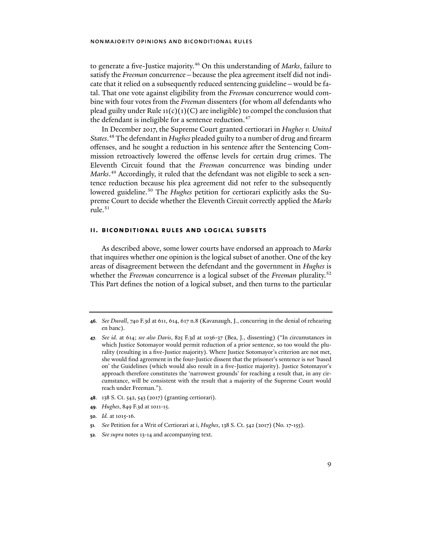to generate a five-Justice majority[.46](#page-8-0) On this understanding of *Marks*, failure to satisfy the *Freeman* concurrence—because the plea agreement itself did not indicate that it relied on a subsequently reduced sentencing guideline—would be fatal. That one vote against eligibility from the *Freeman* concurrence would combine with four votes from the *Freeman* dissenters (for whom *all* defendants who plead guilty under Rule  $11(c)(1)(C)$  are ineligible) to compel the conclusion that the defendant is ineligible for a sentence reduction.<sup>[47](#page-8-1)</sup>

<span id="page-8-7"></span>In December 2017, the Supreme Court granted certiorari in *Hughes v. United States*. [48](#page-8-2) The defendant in *Hughes* pleaded guilty to a number of drug and firearm offenses, and he sought a reduction in his sentence after the Sentencing Commission retroactively lowered the offense levels for certain drug crimes. The Eleventh Circuit found that the *Freeman* concurrence was binding under *Marks*. [49](#page-8-3) Accordingly, it ruled that the defendant was not eligible to seek a sentence reduction because his plea agreement did not refer to the subsequently lowered guideline.<sup>[50](#page-8-4)</sup> The *Hughes* petition for certiorari explicitly asks the Supreme Court to decide whether the Eleventh Circuit correctly applied the *Marks*  rule.[51](#page-8-5)

### **ii. biconditional rules and logical subsets**

As described above, some lower courts have endorsed an approach to *Marks* that inquires whether one opinion is the logical subset of another. One of the key areas of disagreement between the defendant and the government in *Hughes* is whether the *Freeman* concurrence is a logical subset of the *Freeman* plurality.[52](#page-8-6) This Part defines the notion of a logical subset, and then turns to the particular

- <span id="page-8-2"></span>**48**. 138 S. Ct. 542, 543 (2017) (granting certiorari).
- <span id="page-8-3"></span>**49***. Hughes*, 849 F.3d at 1011-15.
- <span id="page-8-4"></span>**50***. Id.* at 1015-16.
- <span id="page-8-5"></span>**51***. See* Petition for a Writ of Certiorari at i, *Hughes*, 138 S. Ct. 542 (2017) (No. 17-155).
- <span id="page-8-6"></span>**52***. See supra* notes [13-](#page-2-4)[14](#page-2-5) and accompanying text.

<span id="page-8-0"></span>**<sup>46</sup>***. See Duvall*, 740 F.3d at 611, 614, 617 n.8 (Kavanaugh, J., concurring in the denial of rehearing en banc).

<span id="page-8-1"></span>**<sup>47</sup>***. See id.* at 614; *see also Davis*, 825 F.3d at 1036-37 (Bea, J., dissenting) ("In circumstances in which Justice Sotomayor would permit reduction of a prior sentence, so too would the plurality (resulting in a five-Justice majority). Where Justice Sotomayor's criterion are not met, she would find agreement in the four-Justice dissent that the prisoner's sentence is *not* 'based on' the Guidelines (which would also result in a five-Justice majority). Justice Sotomayor's approach therefore constitutes the 'narrowest grounds' for reaching a result that, in any circumstance, will be consistent with the result that a majority of the Supreme Court would reach under Freeman.").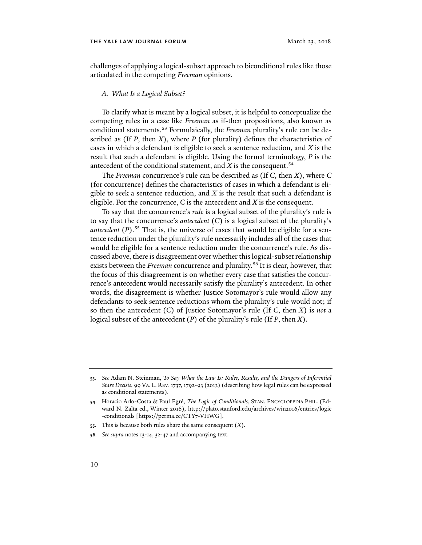challenges of applying a logical-subset approach to biconditional rules like those articulated in the competing *Freeman* opinions.

### <span id="page-9-4"></span>*A. What Is a Logical Subset?*

To clarify what is meant by a logical subset, it is helpful to conceptualize the competing rules in a case like *Freeman* as if-then propositions, also known as conditional statements.[53](#page-9-0) Formulaically, the *Freeman* plurality's rule can be described as (If *P*, then *X*), where *P* (for plurality) defines the characteristics of cases in which a defendant is eligible to seek a sentence reduction, and *X* is the result that such a defendant is eligible. Using the formal terminology, *P* is the antecedent of the conditional statement, and  $X$  is the consequent.<sup>[54](#page-9-1)</sup>

The *Freeman* concurrence's rule can be described as (If *C*, then *X*), where *C*  (for concurrence) defines the characteristics of cases in which a defendant is eligible to seek a sentence reduction, and *X* is the result that such a defendant is eligible. For the concurrence, *C* is the antecedent and *X* is the consequent.

To say that the concurrence's *rule* is a logical subset of the plurality's rule is to say that the concurrence's *antecedent* (*C*) is a logical subset of the plurality's *antecedent*  $(P)$ .<sup>[55](#page-9-2)</sup> That is, the universe of cases that would be eligible for a sentence reduction under the plurality's rule necessarily includes all of the cases that would be eligible for a sentence reduction under the concurrence's rule. As discussed above, there is disagreement over whether this logical-subset relationship exists between the *Freeman* concurrence and plurality.[56](#page-9-3) It is clear, however, that the focus of this disagreement is on whether every case that satisfies the concurrence's antecedent would necessarily satisfy the plurality's antecedent. In other words, the disagreement is whether Justice Sotomayor's rule would allow any defendants to seek sentence reductions whom the plurality's rule would not; if so then the antecedent (*C*) of Justice Sotomayor's rule (If *C*, then *X*) is *not* a logical subset of the antecedent (*P*) of the plurality's rule (If *P*, then *X*).

<span id="page-9-3"></span>**56***. See supra* notes [13-](#page-2-4)[14,](#page-2-5) [32-](#page-6-7)[47](#page-8-7) and accompanying text.

<span id="page-9-0"></span>**<sup>53</sup>***. See* Adam N. Steinman, *To Say What the Law Is: Rules, Results, and the Dangers of Inferential Stare Decisis*, 99 VA. L. REV.1737, 1792-93 (2013) (describing how legal rules can be expressed as conditional statements).

<span id="page-9-1"></span>**<sup>54</sup>**. Horacio Arlo-Costa & Paul Egré, *The Logic of Conditionals*, STAN. ENCYCLOPEDIA PHIL. (Edward N. Zalta ed., Winter 2016), http://plato.stanford.edu/archives/win2016/entries/logic -conditionals [https://perma.cc/CTY7-VHWG].

<span id="page-9-2"></span>**<sup>55</sup>**. This is because both rules share the same consequent (*X*).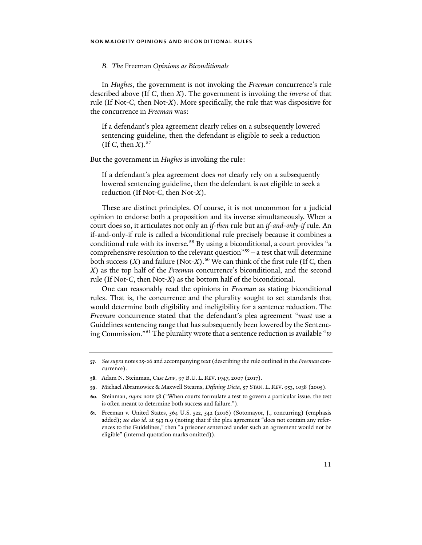### *B. The* Freeman *Opinions as Biconditionals*

In *Hughes*, the government is not invoking the *Freeman* concurrence's rule described above (If *C*, then *X*). The government is invoking the *inverse* of that rule (If Not-*C*, then Not-*X*). More specifically, the rule that was dispositive for the concurrence in *Freeman* was:

If a defendant's plea agreement clearly relies on a subsequently lowered sentencing guideline, then the defendant is eligible to seek a reduction (If C, then  $X$ ).<sup>[57](#page-10-2)</sup>

But the government in *Hughes* is invoking the rule:

If a defendant's plea agreement does *not* clearly rely on a subsequently lowered sentencing guideline, then the defendant is *not* eligible to seek a reduction (If Not-*C*, then Not-*X*).

<span id="page-10-0"></span>These are distinct principles. Of course, it is not uncommon for a judicial opinion to endorse both a proposition and its inverse simultaneously. When a court does so, it articulates not only an *if-then* rule but an *if-and-only-if* rule. An if-and-only-if rule is called a *bi*conditional rule precisely because it combines a conditional rule with its inverse.<sup>[58](#page-10-3)</sup> By using a biconditional, a court provides "a comprehensive resolution to the relevant question<sup> $n=59}$  $n=59}$  $n=59}$ </sup> – a test that will determine both success (*X*) and failure (Not-*X*).<sup>[60](#page-10-5)</sup> We can think of the first rule (If *C*, then *X*) as the top half of the *Freeman* concurrence's biconditional, and the second rule (If Not-*C*, then Not-*X*) as the bottom half of the biconditional.

<span id="page-10-7"></span><span id="page-10-1"></span>One can reasonably read the opinions in *Freeman* as stating biconditional rules. That is, the concurrence and the plurality sought to set standards that would determine both eligibility and ineligibility for a sentence reduction. The *Freeman* concurrence stated that the defendant's plea agreement "*must* use a Guidelines sentencing range that has subsequently been lowered by the Sentencing Commission."[61](#page-10-6) The plurality wrote that a sentence reduction is available "*to* 

<span id="page-10-2"></span>**<sup>57</sup>***. See supra* note[s 25-](#page-5-7)[26](#page-5-8) and accompanying text (describing the rule outlined in the *Freeman* concurrence).

<span id="page-10-3"></span>**<sup>58</sup>**. Adam N. Steinman, *Case Law*, 97 B.U. L. REV.1947, 2007 (2017).

<span id="page-10-4"></span>**<sup>59</sup>**. Michael Abramowicz & Maxwell Stearns, *Defining Dicta*, 57 STAN. L. REV. 953, 1038 (2005).

<span id="page-10-5"></span>**<sup>60</sup>**. Steinman, *supra* note [58](#page-10-0) ("When courts formulate a test to govern a particular issue, the test is often meant to determine both success and failure.").

<span id="page-10-6"></span>**<sup>61</sup>**. Freeman v. United States, 564 U.S. 522, 542 (2016) (Sotomayor, J., concurring) (emphasis added); *see also id.* at 543 n.9 (noting that if the plea agreement "does not contain any references to the Guidelines," then "a prisoner sentenced under such an agreement would not be eligible" (internal quotation marks omitted)).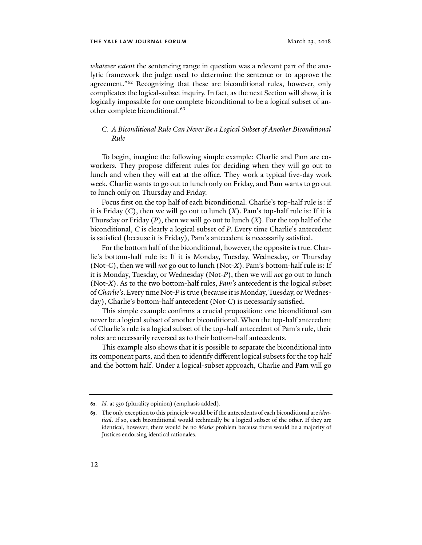*whatever extent* the sentencing range in question was a relevant part of the analytic framework the judge used to determine the sentence or to approve the agreement."<sup>[62](#page-11-0)</sup> Recognizing that these are biconditional rules, however, only complicates the logical-subset inquiry. In fact, as the next Section will show, it is logically impossible for one complete biconditional to be a logical subset of another complete biconditional.<sup>63</sup>

# *C. A Biconditional Rule Can Never Be a Logical Subset of Another Biconditional Rule*

To begin, imagine the following simple example: Charlie and Pam are coworkers. They propose different rules for deciding when they will go out to lunch and when they will eat at the office. They work a typical five-day work week. Charlie wants to go out to lunch only on Friday, and Pam wants to go out to lunch only on Thursday and Friday.

Focus first on the top half of each biconditional. Charlie's top-half rule is: if it is Friday (*C*), then we will go out to lunch (*X*). Pam's top-half rule is: If it is Thursday or Friday (*P*), then we will go out to lunch (*X*). For the top half of the biconditional, *C* is clearly a logical subset of *P*. Every time Charlie's antecedent is satisfied (because it is Friday), Pam's antecedent is necessarily satisfied.

For the bottom half of the biconditional, however, the opposite is true. Charlie's bottom-half rule is: If it is Monday, Tuesday, Wednesday, or Thursday (Not-*C*), then we will *not* go out to lunch (Not-*X*). Pam's bottom-half rule is: If it is Monday, Tuesday, or Wednesday (Not-*P*), then we will *not* go out to lunch (Not-*X*). As to the two bottom-half rules, *Pam's* antecedent is the logical subset of *Charlie's*. Every time Not-*P* is true (because it is Monday, Tuesday, or Wednesday), Charlie's bottom-half antecedent (Not-*C*) is necessarily satisfied.

This simple example confirms a crucial proposition: one biconditional can never be a logical subset of another biconditional. When the top-half antecedent of Charlie's rule is a logical subset of the top-half antecedent of Pam's rule, their roles are necessarily reversed as to their bottom-half antecedents.

This example also shows that it is possible to separate the biconditional into its component parts, and then to identify different logical subsets for the top half and the bottom half. Under a logical-subset approach, Charlie and Pam will go

<span id="page-11-0"></span>**<sup>62</sup>***. Id.* at 530 (plurality opinion) (emphasis added).

<span id="page-11-1"></span>**<sup>63</sup>**. The only exception to this principle would be if the antecedents of each biconditional are *identical*. If so, each biconditional would technically be a logical subset of the other. If they are identical, however, there would be no *Marks* problem because there would be a majority of Justices endorsing identical rationales.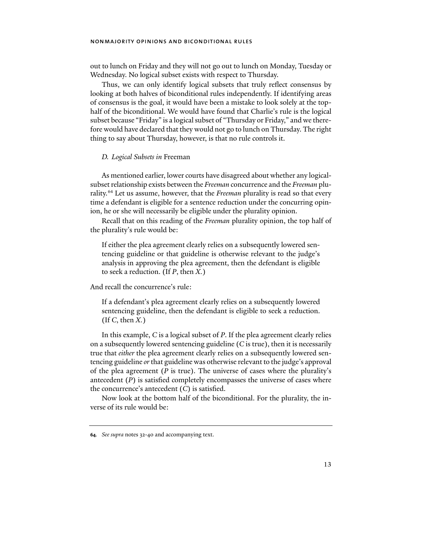out to lunch on Friday and they will not go out to lunch on Monday, Tuesday or Wednesday. No logical subset exists with respect to Thursday.

Thus, we can only identify logical subsets that truly reflect consensus by looking at both halves of biconditional rules independently. If identifying areas of consensus is the goal, it would have been a mistake to look solely at the tophalf of the biconditional. We would have found that Charlie's rule is the logical subset because "Friday" is a logical subset of "Thursday or Friday," and we therefore would have declared that they would not go to lunch on Thursday. The right thing to say about Thursday, however, is that no rule controls it.

### *D. Logical Subsets in* Freeman

As mentioned earlier, lower courts have disagreed about whether any logicalsubset relationship exists between the *Freeman* concurrence and the *Freeman* plurality.[64](#page-12-0) Let us assume, however, that the *Freeman* plurality is read so that every time a defendant is eligible for a sentence reduction under the concurring opinion, he or she will necessarily be eligible under the plurality opinion.

Recall that on this reading of the *Freeman* plurality opinion, the top half of the plurality's rule would be:

If either the plea agreement clearly relies on a subsequently lowered sentencing guideline or that guideline is otherwise relevant to the judge's analysis in approving the plea agreement, then the defendant is eligible to seek a reduction. (If *P*, then *X.*)

And recall the concurrence's rule:

If a defendant's plea agreement clearly relies on a subsequently lowered sentencing guideline, then the defendant is eligible to seek a reduction. (If *C*, then *X.*)

In this example, *C* is a logical subset of *P*. If the plea agreement clearly relies on a subsequently lowered sentencing guideline (*C* is true), then it is necessarily true that *either* the plea agreement clearly relies on a subsequently lowered sentencing guideline *or* that guideline was otherwise relevant to the judge's approval of the plea agreement (*P* is true). The universe of cases where the plurality's antecedent (*P*) is satisfied completely encompasses the universe of cases where the concurrence's antecedent (*C*) is satisfied.

Now look at the bottom half of the biconditional. For the plurality, the inverse of its rule would be:

<span id="page-12-0"></span>**<sup>64</sup>***. See supra* notes [32-](#page-6-7)[40](#page-7-9) and accompanying text.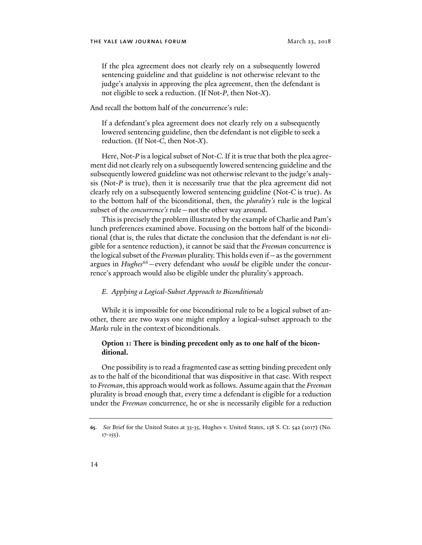If the plea agreement does not clearly rely on a subsequently lowered sentencing guideline and that guideline is not otherwise relevant to the judge's analysis in approving the plea agreement, then the defendant is not eligible to seek a reduction. (If Not-*P*, then Not-*X*).

And recall the bottom half of the concurrence's rule:

If a defendant's plea agreement does not clearly rely on a subsequently lowered sentencing guideline, then the defendant is not eligible to seek a reduction. (If Not-*C*, then Not-*X*).

Here, Not-*P* is a logical subset of Not-*C*. If it is true that both the plea agreement did not clearly rely on a subsequently lowered sentencing guideline and the subsequently lowered guideline was not otherwise relevant to the judge's analysis (Not-*P* is true), then it is necessarily true that the plea agreement did not clearly rely on a subsequently lowered sentencing guideline (Not-*C* is true). As to the bottom half of the biconditional, then, the *plurality's* rule is the logical subset of the *concurrence's* rule—not the other way around.

This is precisely the problem illustrated by the example of Charlie and Pam's lunch preferences examined above. Focusing on the bottom half of the biconditional (that is, the rules that dictate the conclusion that the defendant is *not* eligible for a sentence reduction), it cannot be said that the *Freeman* concurrence is the logical subset of the *Freeman* plurality. This holds even if—as the government argues in *Hughes*<sup>65</sup> – every defendant who *would* be eligible under the concurrence's approach would also be eligible under the plurality's approach.

### *E. Applying a Logical-Subset Approach to Biconditionals*

While it is impossible for one biconditional rule to be a logical subset of another, there are two ways one might employ a logical-subset approach to the *Marks* rule in the context of biconditionals.

# **Option 1: There is binding precedent only as to one half of the biconditional.**

One possibility is to read a fragmented case as setting binding precedent only as to the half of the biconditional that was dispositive in that case. With respect to *Freeman*, this approach would work as follows. Assume again that the *Freeman* plurality is broad enough that, every time a defendant is eligible for a reduction under the *Freeman* concurrence, he or she is necessarily eligible for a reduction

<span id="page-13-0"></span>**<sup>65</sup>**. *See* Brief for the United States at 33-35, Hughes v. United States, 138 S. Ct. 542 (2017) (No.  $17-155$ ).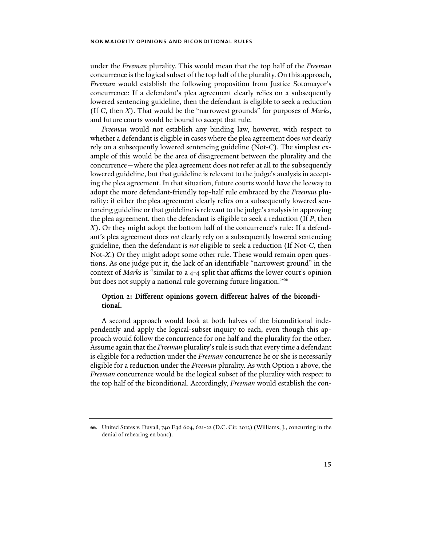under the *Freeman* plurality. This would mean that the top half of the *Freeman*  concurrence is the logical subset of the top half of the plurality. On this approach, *Freeman* would establish the following proposition from Justice Sotomayor's concurrence: If a defendant's plea agreement clearly relies on a subsequently lowered sentencing guideline, then the defendant is eligible to seek a reduction (If *C*, then *X*). That would be the "narrowest grounds" for purposes of *Marks*, and future courts would be bound to accept that rule.

*Freeman* would not establish any binding law, however, with respect to whether a defendant is eligible in cases where the plea agreement does *not* clearly rely on a subsequently lowered sentencing guideline (Not-*C*). The simplest example of this would be the area of disagreement between the plurality and the concurrence—where the plea agreement does not refer at all to the subsequently lowered guideline, but that guideline is relevant to the judge's analysis in accepting the plea agreement. In that situation, future courts would have the leeway to adopt the more defendant-friendly top-half rule embraced by the *Freeman* plurality: if either the plea agreement clearly relies on a subsequently lowered sentencing guideline or that guideline is relevant to the judge's analysis in approving the plea agreement, then the defendant is eligible to seek a reduction (If *P*, then *X*). Or they might adopt the bottom half of the concurrence's rule: If a defendant's plea agreement does *not* clearly rely on a subsequently lowered sentencing guideline, then the defendant is *not* eligible to seek a reduction (If Not-*C*, then Not-*X*.) Or they might adopt some other rule. These would remain open questions. As one judge put it, the lack of an identifiable "narrowest ground" in the context of *Marks* is "similar to a 4-4 split that affirms the lower court's opinion but does not supply a national rule governing future litigation."<sup>[66](#page-14-0)</sup>

# **Option 2: Different opinions govern different halves of the biconditional.**

A second approach would look at both halves of the biconditional independently and apply the logical-subset inquiry to each, even though this approach would follow the concurrence for one half and the plurality for the other. Assume again that the *Freeman* plurality's rule is such that every time a defendant is eligible for a reduction under the *Freeman* concurrence he or she is necessarily eligible for a reduction under the *Freeman* plurality. As with Option 1 above, the *Freeman* concurrence would be the logical subset of the plurality with respect to the top half of the biconditional. Accordingly, *Freeman* would establish the con-

<span id="page-14-0"></span>**<sup>66</sup>**. United States v. Duvall, 740 F.3d 604, 621-22 (D.C. Cir. 2013) (Williams, J., concurring in the denial of rehearing en banc).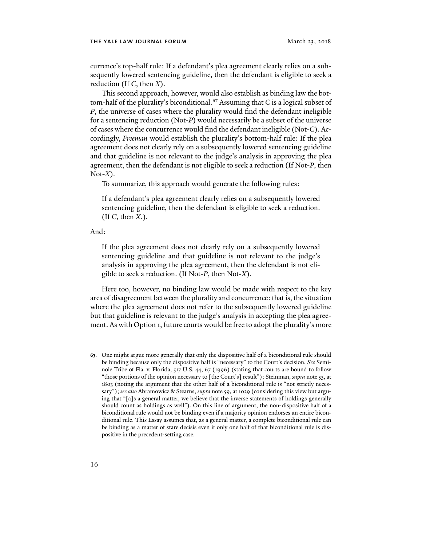currence's top-half rule: If a defendant's plea agreement clearly relies on a subsequently lowered sentencing guideline, then the defendant is eligible to seek a reduction (If *C*, then *X*).

This second approach, however, would also establish as binding law the bot-tom-half of the plurality's biconditional.<sup>[67](#page-15-0)</sup> Assuming that *C* is a logical subset of *P*, the universe of cases where the plurality would find the defendant ineligible for a sentencing reduction (Not-*P*) would necessarily be a subset of the universe of cases where the concurrence would find the defendant ineligible (Not-*C*). Accordingly, *Freeman* would establish the plurality's bottom-half rule: If the plea agreement does not clearly rely on a subsequently lowered sentencing guideline and that guideline is not relevant to the judge's analysis in approving the plea agreement, then the defendant is not eligible to seek a reduction (If Not-*P*, then Not-*X*).

To summarize, this approach would generate the following rules:

If a defendant's plea agreement clearly relies on a subsequently lowered sentencing guideline, then the defendant is eligible to seek a reduction. (If *C*, then *X.*).

And:

If the plea agreement does not clearly rely on a subsequently lowered sentencing guideline and that guideline is not relevant to the judge's analysis in approving the plea agreement, then the defendant is not eligible to seek a reduction. (If Not-*P*, then Not-*X*).

Here too, however, no binding law would be made with respect to the key area of disagreement between the plurality and concurrence: that is, the situation where the plea agreement does not refer to the subsequently lowered guideline but that guideline is relevant to the judge's analysis in accepting the plea agreement. As with Option 1, future courts would be free to adopt the plurality's more

<span id="page-15-0"></span>**<sup>67</sup>**. One might argue more generally that only the dispositive half of a biconditional rule should be binding because only the dispositive half is "necessary" to the Court's decision. *See* Seminole Tribe of Fla. v. Florida, 517 U.S. 44, 67 (1996) (stating that courts are bound to follow "those portions of the opinion necessary to [the Court's] result"); Steinman, *supra* not[e 53,](#page-9-4) at 1803 (noting the argument that the other half of a biconditional rule is "not strictly necessary"); *see also* Abramowicz & Stearns, *supra* not[e 59,](#page-10-7) at 1039 (considering this view but arguing that "[a]s a general matter, we believe that the inverse statements of holdings generally should count as holdings as well"). On this line of argument, the non-dispositive half of a biconditional rule would not be binding even if a majority opinion endorses an entire biconditional rule. This Essay assumes that, as a general matter, a complete biconditional rule can be binding as a matter of stare decisis even if only one half of that biconditional rule is dispositive in the precedent-setting case.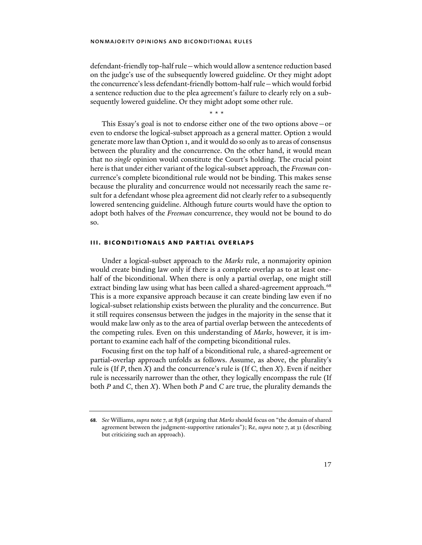defendant-friendly top-half rule—which would allow a sentence reduction based on the judge's use of the subsequently lowered guideline. Or they might adopt the concurrence's less defendant-friendly bottom-half rule—which would forbid a sentence reduction due to the plea agreement's failure to clearly rely on a subsequently lowered guideline. Or they might adopt some other rule.

\* \* \*

This Essay's goal is not to endorse either one of the two options above—or even to endorse the logical-subset approach as a general matter. Option 2 would generate more law than Option 1, and it would do so only as to areas of consensus between the plurality and the concurrence. On the other hand, it would mean that no *single* opinion would constitute the Court's holding. The crucial point here is that under either variant of the logical-subset approach, the *Freeman* concurrence's complete biconditional rule would not be binding. This makes sense because the plurality and concurrence would not necessarily reach the same result for a defendant whose plea agreement did not clearly refer to a subsequently lowered sentencing guideline. Although future courts would have the option to adopt both halves of the *Freeman* concurrence, they would not be bound to do so.

## **iii. biconditionals and partial overlaps**

Under a logical-subset approach to the *Marks* rule, a nonmajority opinion would create binding law only if there is a complete overlap as to at least onehalf of the biconditional. When there is only a partial overlap, one might still extract binding law using what has been called a shared-agreement approach.<sup>[68](#page-16-0)</sup> This is a more expansive approach because it can create binding law even if no logical-subset relationship exists between the plurality and the concurrence. But it still requires consensus between the judges in the majority in the sense that it would make law only as to the area of partial overlap between the antecedents of the competing rules. Even on this understanding of *Marks*, however, it is important to examine each half of the competing biconditional rules.

Focusing first on the top half of a biconditional rule, a shared-agreement or partial-overlap approach unfolds as follows. Assume, as above, the plurality's rule is (If *P*, then *X*) and the concurrence's rule is (If *C*, then *X*). Even if neither rule is necessarily narrower than the other, they logically encompass the rule (If both *P* and *C*, then *X*). When both *P* and *C* are true, the plurality demands the

<span id="page-16-0"></span>**<sup>68</sup>***. See* Williams, *supra* not[e 7,](#page-1-9) at 838 (arguing that *Marks* should focus on "the domain of shared agreement between the judgment-supportive rationales"); Re, *supra* not[e 7,](#page-1-9) at 31 (describing but criticizing such an approach).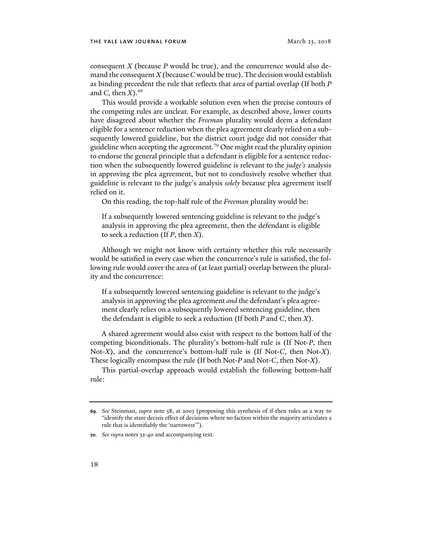consequent *X* (because *P* would be true), and the concurrence would also demand the consequent *X* (because *C* would be true). The decision would establish as binding precedent the rule that reflects that area of partial overlap (If both *P* and *C*, then  $X$ ).<sup>[69](#page-17-0)</sup>

This would provide a workable solution even when the precise contours of the competing rules are unclear. For example, as described above, lower courts have disagreed about whether the *Freeman* plurality would deem a defendant eligible for a sentence reduction when the plea agreement clearly relied on a subsequently lowered guideline, but the district court judge did not consider that guideline when accepting the agreement.<sup>[70](#page-17-1)</sup> One might read the plurality opinion to endorse the general principle that a defendant is eligible for a sentence reduction when the subsequently lowered guideline is relevant to the *judge's* analysis in approving the plea agreement, but not to conclusively resolve whether that guideline is relevant to the judge's analysis *solely* because plea agreement itself relied on it.

On this reading, the top-half rule of the *Freeman* plurality would be:

If a subsequently lowered sentencing guideline is relevant to the judge's analysis in approving the plea agreement, then the defendant is eligible to seek a reduction (If *P*, then *X*).

Although we might not know with certainty whether this rule necessarily would be satisfied in every case when the concurrence's rule is satisfied, the following rule would cover the area of (at least partial) overlap between the plurality and the concurrence:

If a subsequently lowered sentencing guideline is relevant to the judge's analysis in approving the plea agreement *and* the defendant's plea agreement clearly relies on a subsequently lowered sentencing guideline, then the defendant is eligible to seek a reduction (If both *P* and *C*, then *X*).

A shared agreement would also exist with respect to the bottom half of the competing biconditionals. The plurality's bottom-half rule is (If Not-*P*, then Not-*X*), and the concurrence's bottom-half rule is (If Not-*C*, then Not-*X*). These logically encompass the rule (If both Not-*P* and Not-*C*, then Not-*X*).

This partial-overlap approach would establish the following bottom-half rule:

<span id="page-17-0"></span>**<sup>69</sup>***. See* Steinman, *supra* note [58,](#page-10-0) at 2003 (proposing this synthesis of if-then rules as a way to "identify the stare decisis effect of decisions where no faction within the majority articulates a rule that is identifiably the 'narrowest'").

<span id="page-17-1"></span>**<sup>70</sup>***. See supra* notes [32-](#page-6-7)[40](#page-7-9) and accompanying text.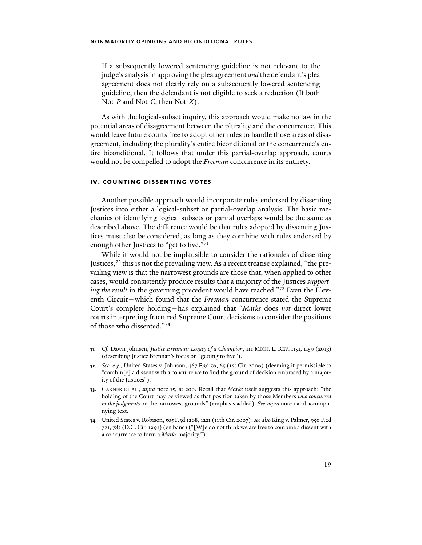If a subsequently lowered sentencing guideline is not relevant to the judge's analysis in approving the plea agreement *and* the defendant's plea agreement does not clearly rely on a subsequently lowered sentencing guideline, then the defendant is not eligible to seek a reduction (If both Not-*P* and Not-*C*, then Not-*X*).

As with the logical-subset inquiry, this approach would make no law in the potential areas of disagreement between the plurality and the concurrence. This would leave future courts free to adopt other rules to handle those areas of disagreement, including the plurality's entire biconditional or the concurrence's entire biconditional. It follows that under this partial-overlap approach, courts would not be compelled to adopt the *Freeman* concurrence in its entirety.

# **iv. counting dissenting votes**

Another possible approach would incorporate rules endorsed by dissenting Justices into either a logical-subset or partial-overlap analysis. The basic mechanics of identifying logical subsets or partial overlaps would be the same as described above. The difference would be that rules adopted by dissenting Justices must also be considered, as long as they combine with rules endorsed by enough other Justices to "get to five."<sup>[71](#page-18-0)</sup>

<span id="page-18-4"></span>While it would not be implausible to consider the rationales of dissenting Justices,  $72$  this is not the prevailing view. As a recent treatise explained, "the prevailing view is that the narrowest grounds are those that, when applied to other cases, would consistently produce results that a majority of the Justices *supporting the result* in the governing precedent would have reached."<sup>[73](#page-18-2)</sup> Even the Eleventh Circuit—which found that the *Freeman* concurrence stated the Supreme Court's complete holding—has explained that "*Marks* does *not* direct lower courts interpreting fractured Supreme Court decisions to consider the positions of those who dissented."[74](#page-18-3)

<span id="page-18-5"></span><span id="page-18-0"></span>**<sup>71</sup>***. Cf.* Dawn Johnsen, *Justice Brennan: Legacy of a Champion*, 111 MICH. L. REV. 1151, 1159 (2013) (describing Justice Brennan's focus on "getting to five").

<span id="page-18-1"></span>**<sup>72</sup>***. See, e.g.*, United States v. Johnson, 467 F.3d 56, 65 (1st Cir. 2006) (deeming it permissible to "combin[e] a dissent with a concurrence to find the ground of decision embraced by a majority of the Justices").

<span id="page-18-2"></span>**<sup>73</sup>**. GARNER ET AL., *supra* note [15,](#page-3-1) at 200. Recall that *Marks* itself suggests this approach: "the holding of the Court may be viewed as that position taken by those Members *who concurred in the judgments* on the narrowest grounds" (emphasis added). *See supra* not[e 1](#page-0-1) and accompanying text.

<span id="page-18-3"></span>**<sup>74</sup>**. United States v. Robison, 505 F.3d 1208, 1221 (11th Cir. 2007); *see also* King v. Palmer, 950 F.2d 771, 783 (D.C. Cir. 1991) (en banc) ("[W]e do not think we are free to combine a dissent with a concurrence to form a *Marks* majority.").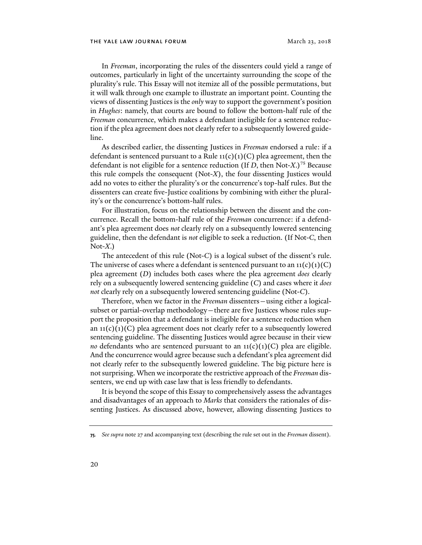In *Freeman*, incorporating the rules of the dissenters could yield a range of outcomes, particularly in light of the uncertainty surrounding the scope of the plurality's rule. This Essay will not itemize all of the possible permutations, but it will walk through one example to illustrate an important point. Counting the views of dissenting Justices is the *only* way to support the government's position in *Hughes*: namely, that courts are bound to follow the bottom-half rule of the *Freeman* concurrence, which makes a defendant ineligible for a sentence reduction if the plea agreement does not clearly refer to a subsequently lowered guideline.

As described earlier, the dissenting Justices in *Freeman* endorsed a rule: if a defendant is sentenced pursuant to a Rule  $\iota_1(c)(1)(C)$  plea agreement, then the defendant is not eligible for a sentence reduction (If *D*, then Not-*X*.)[75](#page-19-0) Because this rule compels the consequent (Not-*X*), the four dissenting Justices would add no votes to either the plurality's or the concurrence's top-half rules. But the dissenters can create five-Justice coalitions by combining with either the plurality's or the concurrence's bottom-half rules.

For illustration, focus on the relationship between the dissent and the concurrence. Recall the bottom-half rule of the *Freeman* concurrence: if a defendant's plea agreement does *not* clearly rely on a subsequently lowered sentencing guideline, then the defendant is *not* eligible to seek a reduction. (If Not-*C*, then Not-*X*.)

The antecedent of this rule (Not-*C*) is a logical subset of the dissent's rule. The universe of cases where a defendant is sentenced pursuant to an  $11(c)(1)(C)$ plea agreement (*D*) includes both cases where the plea agreement *does* clearly rely on a subsequently lowered sentencing guideline (*C*) and cases where it *does not* clearly rely on a subsequently lowered sentencing guideline (Not-*C*).

Therefore, when we factor in the *Freeman* dissenters—using either a logicalsubset or partial-overlap methodology—there are five Justices whose rules support the proposition that a defendant is ineligible for a sentence reduction when an  $11(c)(1)(C)$  plea agreement does not clearly refer to a subsequently lowered sentencing guideline. The dissenting Justices would agree because in their view *no* defendants who are sentenced pursuant to an  $\text{11}(c)(1)(C)$  plea are eligible. And the concurrence would agree because such a defendant's plea agreement did not clearly refer to the subsequently lowered guideline. The big picture here is not surprising. When we incorporate the restrictive approach of the *Freeman* dissenters, we end up with case law that is less friendly to defendants.

It is beyond the scope of this Essay to comprehensively assess the advantages and disadvantages of an approach to *Marks* that considers the rationales of dissenting Justices. As discussed above, however, allowing dissenting Justices to

<span id="page-19-0"></span>**<sup>75</sup>***. See supra* not[e 27](#page-5-9) and accompanying text (describing the rule set out in the *Freeman* dissent).